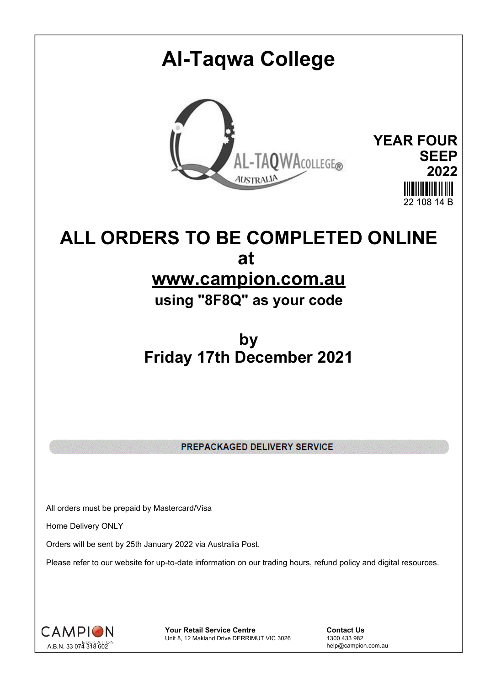## **Al-Taqwa College YEAR FOUR** AL-TAQWACOLLEGE® **SEEP 2022** 22 108 14 B

## **ALL ORDERS TO BE COMPLETED ONLINE at www.campion.com.au**

**using "8F8Q" as your code**

## **by Friday 17th December 2021**

PREPACKAGED DELIVERY SERVICE

All orders must be prepaid by Mastercard/Visa

Home Delivery ONLY

Orders will be sent by 25th January 2022 via Australia Post.

Please refer to our website for up-to-date information on our trading hours, refund policy and digital resources.



**Your Retail Service Centre Contact Us**<br>
Unit 8, 12 Makland Drive DERRIMUT VIC 3026
1300 433 982 Unit 8, 12 Makland Drive DERRIMUT VIC 3026

help@campion.com.au